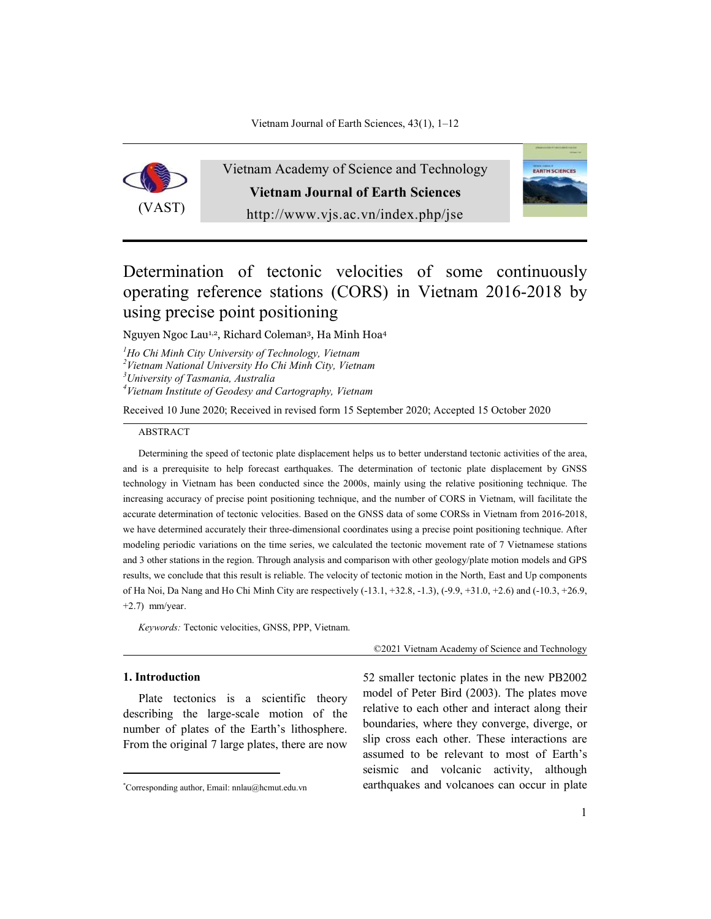

Vietnam Academy of Science and Technology **Vietnam Journal of Earth Sciences** http://www.vjs.ac.vn/index.php/jse



# Determination of tectonic velocities of some continuously operating reference stations (CORS) in Vietnam 2016-2018 by using precise point positioning

Nguyen Ngoc Lau1,2, Richard Coleman3, Ha Minh Hoa4

*1 Ho Chi Minh City University of Technology, Vietnam <sup>2</sup> Vietnam National University Ho Chi Minh City, Vietnam <sup>3</sup>*

*University of Tasmania, Australia*

*4 Vietnam Institute of Geodesy and Cartography, Vietnam*

Received 10 June 2020; Received in revised form 15 September 2020; Accepted 15 October 2020

#### ABSTRACT

Determining the speed of tectonic plate displacement helps us to better understand tectonic activities of the area, and is a prerequisite to help forecast earthquakes. The determination of tectonic plate displacement by GNSS technology in Vietnam has been conducted since the 2000s, mainly using the relative positioning technique. The increasing accuracy of precise point positioning technique, and the number of CORS in Vietnam, will facilitate the accurate determination of tectonic velocities. Based on the GNSS data of some CORSs in Vietnam from 2016-2018, we have determined accurately their three-dimensional coordinates using a precise point positioning technique. After modeling periodic variations on the time series, we calculated the tectonic movement rate of 7 Vietnamese stations and 3 other stations in the region. Through analysis and comparison with other geology/plate motion models and GPS results, we conclude that this result is reliable. The velocity of tectonic motion in the North, East and Up components of Ha Noi, Da Nang and Ho Chi Minh City are respectively (-13.1, +32.8, -1.3), (-9.9, +31.0, +2.6) and (-10.3, +26.9, +2.7) mm/year.

*Keywords:* Tectonic velocities, GNSS, PPP, Vietnam.

### **1.** Introduction

.

Plate tectonics is a scientific theory describing the large-scale motion of the number of plates of the Earth's lithosphere. From the original 7 large plates, there are now ©2021 Vietnam Academy of Science and Technology

52 smaller tectonic plates in the new PB2002 model of Peter Bird (2003). The plates move relative to each other and interact along their boundaries, where they converge, diverge, or slip cross each other. These interactions are assumed to be relevant to most of Earth's seismic and volcanic activity, although earthquakes and volcanoes can occur in plate

<sup>\*</sup> Corresponding author, Email: nnlau@hcmut.edu.vn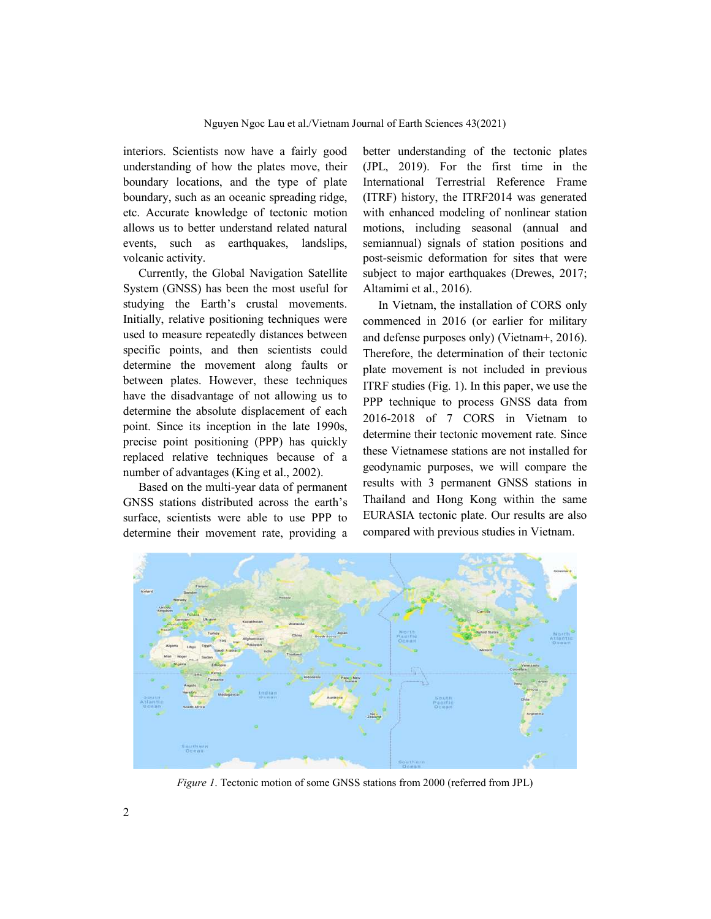interiors. Scientists now have a fairly good understanding of how the plates move, their boundary locations, and the type of plate boundary, such as an oceanic spreading ridge, etc. Accurate knowledge of tectonic motion allows us to better understand related natural events, such as earthquakes, landslips, volcanic activity.

Currently, the Global Navigation Satellite System (GNSS) has been the most useful for studying the Earth's crustal movements. Initially, relative positioning techniques were used to measure repeatedly distances between specific points, and then scientists could determine the movement along faults or between plates. However, these techniques have the disadvantage of not allowing us to determine the absolute displacement of each point. Since its inception in the late 1990s, precise point positioning (PPP) has quickly replaced relative techniques because of a number of advantages (King et al., 2002).

Based on the multi-year data of permanent GNSS stations distributed across the earth's surface, scientists were able to use PPP to determine their movement rate, providing a better understanding of the tectonic plates (JPL, 2019). For the first time in the International Terrestrial Reference Frame (ITRF) history, the ITRF2014 was generated with enhanced modeling of nonlinear station motions, including seasonal (annual and semiannual) signals of station positions and post-seismic deformation for sites that were subject to major earthquakes (Drewes, 2017; Altamimi et al., 2016).

In Vietnam, the installation of CORS only commenced in 2016 (or earlier for military and defense purposes only) (Vietnam+, 2016). Therefore, the determination of their tectonic plate movement is not included in previous ITRF studies (Fig. 1). In this paper, we use the PPP technique to process GNSS data from 2016-2018 of 7 CORS in Vietnam to determine their tectonic movement rate. Since these Vietnamese stations are not installed for geodynamic purposes, we will compare the results with 3 permanent GNSS stations in Thailand and Hong Kong within the same EURASIA tectonic plate. Our results are also compared with previous studies in Vietnam.



*Figure 1*. Tectonic motion of some GNSS stations from 2000 (referred from JPL)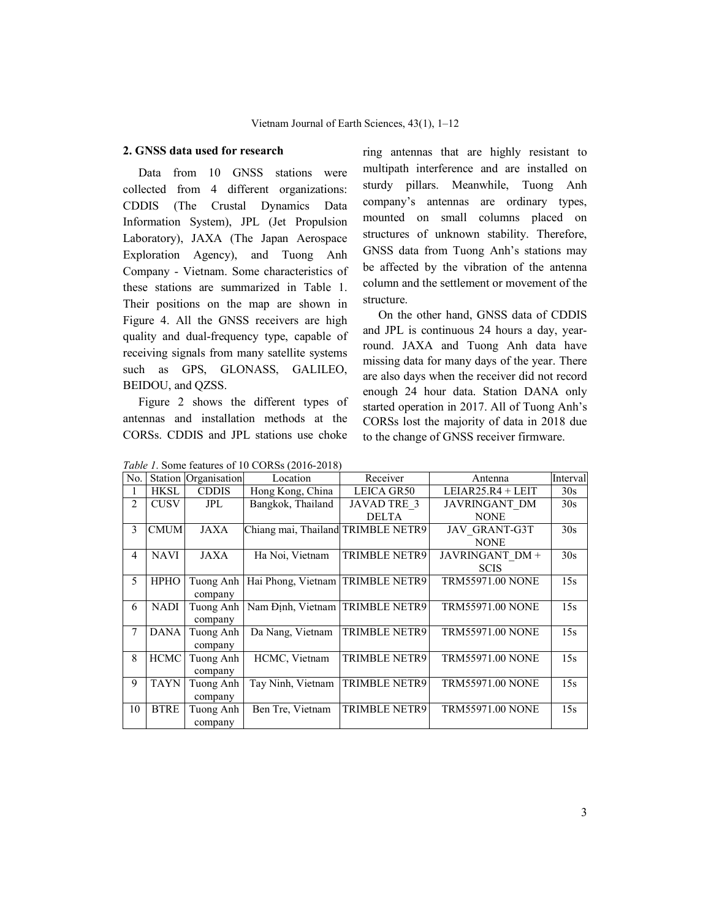## **2. GNSS data used for research**

Data from 10 GNSS stations were collected from 4 different organizations: CDDIS (The Crustal Dynamics Data Information System), JPL (Jet Propulsion Laboratory), JAXA (The Japan Aerospace Exploration Agency), and Tuong Anh Company - Vietnam. Some characteristics of these stations are summarized in Table 1. Their positions on the map are shown in Figure 4. All the GNSS receivers are high quality and dual-frequency type, capable of receiving signals from many satellite systems such as GPS, GLONASS, GALILEO, BEIDOU, and QZSS.

Figure 2 shows the different types of antennas and installation methods at the CORSs. CDDIS and JPL stations use choke ring antennas that are highly resistant to multipath interference and are installed on sturdy pillars. Meanwhile, Tuong Anh company's antennas are ordinary types, mounted on small columns placed on structures of unknown stability. Therefore, GNSS data from Tuong Anh's stations may be affected by the vibration of the antenna column and the settlement or movement of the structure.

On the other hand, GNSS data of CDDIS and JPL is continuous 24 hours a day, yearround. JAXA and Tuong Anh data have missing data for many days of the year. There are also days when the receiver did not record enough 24 hour data. Station DANA only started operation in 2017. All of Tuong Anh's CORSs lost the majority of data in 2018 due to the change of GNSS receiver firmware.

|     | <i>Raole 1</i> . Bollie Ratures of 10 CORDS (2010-2010) |                      |                                    |                      |                         |          |  |  |  |
|-----|---------------------------------------------------------|----------------------|------------------------------------|----------------------|-------------------------|----------|--|--|--|
| No. |                                                         | Station Organisation | Location                           | Receiver             | Antenna                 | Interval |  |  |  |
|     | HKSL                                                    | <b>CDDIS</b>         | Hong Kong, China                   | LEICA GR50           | $LEIAR25.R4 + LEIT$     | 30s      |  |  |  |
| 2   | <b>CUSV</b>                                             | JPL                  | Bangkok, Thailand                  | <b>JAVAD TRE 3</b>   | <b>JAVRINGANT DM</b>    | 30s      |  |  |  |
|     |                                                         |                      |                                    | <b>DELTA</b>         | <b>NONE</b>             |          |  |  |  |
| 3   | <b>CMUM</b>                                             | JAXA                 | Chiang mai, Thailand TRIMBLE NETR9 |                      | <b>JAV GRANT-G3T</b>    | 30s      |  |  |  |
|     |                                                         |                      |                                    |                      | <b>NONE</b>             |          |  |  |  |
| 4   | <b>NAVI</b>                                             | JAXA                 | Ha Noi, Vietnam                    | <b>TRIMBLE NETR9</b> | JAVRINGANT DM+          | 30s      |  |  |  |
|     |                                                         |                      |                                    |                      | <b>SCIS</b>             |          |  |  |  |
| 5   | <b>HPHO</b>                                             | Tuong Anh            | Hai Phong, Vietnam   TRIMBLE NETR9 |                      | <b>TRM55971.00 NONE</b> | 15s      |  |  |  |
|     |                                                         | company              |                                    |                      |                         |          |  |  |  |
| 6   | <b>NADI</b>                                             | Tuong Anh            | Nam Định, Vietnam TRIMBLE NETR9    |                      | <b>TRM55971.00 NONE</b> | 15s      |  |  |  |
|     |                                                         | company              |                                    |                      |                         |          |  |  |  |
| 7   | <b>DANA</b>                                             | Tuong Anh            | Da Nang, Vietnam                   | <b>TRIMBLE NETR9</b> | <b>TRM55971.00 NONE</b> | 15s      |  |  |  |
|     |                                                         | company              |                                    |                      |                         |          |  |  |  |
| 8   | <b>HCMC</b>                                             | Tuong Anh            | HCMC, Vietnam                      | <b>TRIMBLE NETR9</b> | <b>TRM55971.00 NONE</b> | 15s      |  |  |  |
|     |                                                         | company              |                                    |                      |                         |          |  |  |  |
| 9   | <b>TAYN</b>                                             | Tuong Anh            | Tay Ninh, Vietnam                  | <b>TRIMBLE NETR9</b> | <b>TRM55971.00 NONE</b> | 15s      |  |  |  |
|     |                                                         | company              |                                    |                      |                         |          |  |  |  |
| 10  | <b>BTRE</b>                                             | Tuong Anh            | Ben Tre, Vietnam                   | TRIMBLE NETR9        | <b>TRM55971.00 NONE</b> | 15s      |  |  |  |
|     |                                                         | company              |                                    |                      |                         |          |  |  |  |

*Table 1*. Some features of 10 CORSs (2016-2018)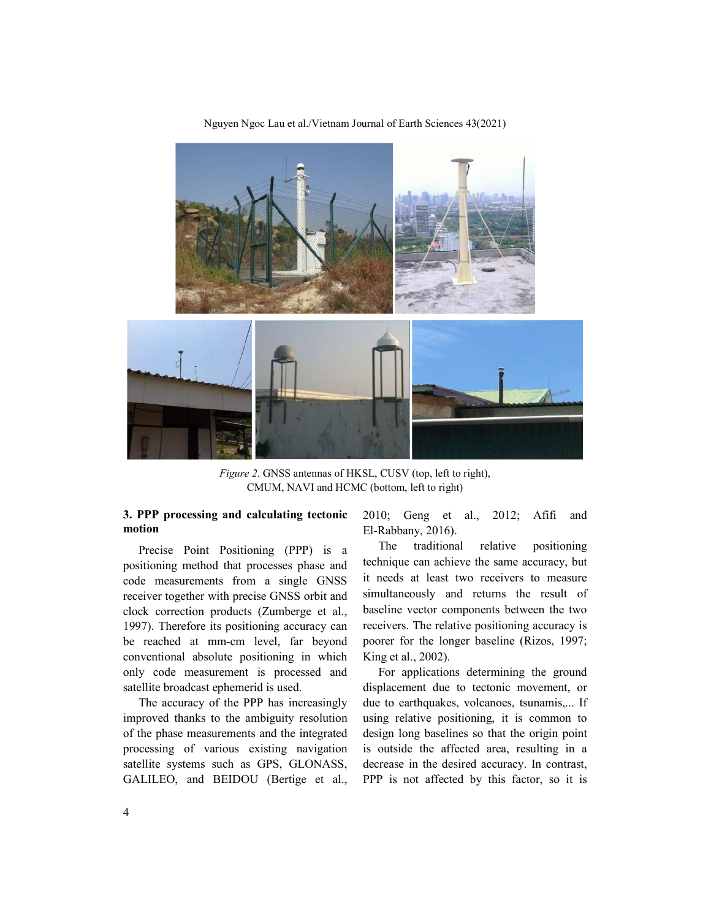

Nguyen Ngoc Lau et al./Vietnam Journal of Earth Sciences 43(2021)

*Figure 2*. GNSS antennas of HKSL, CUSV (top, left to right), CMUM, NAVI and HCMC (bottom, left to right)

# **3. PPP processing and calculating tectonic motion**

Precise Point Positioning (PPP) is a positioning method that processes phase and code measurements from a single GNSS receiver together with precise GNSS orbit and clock correction products (Zumberge et al., 1997). Therefore its positioning accuracy can be reached at mm-cm level, far beyond conventional absolute positioning in which only code measurement is processed and satellite broadcast ephemerid is used.

The accuracy of the PPP has increasingly improved thanks to the ambiguity resolution of the phase measurements and the integrated processing of various existing navigation satellite systems such as GPS, GLONASS, GALILEO, and BEIDOU (Bertige et al., 2010; Geng et al., 2012; Afifi and El-Rabbany, 2016).

The traditional relative positioning technique can achieve the same accuracy, but it needs at least two receivers to measure simultaneously and returns the result of baseline vector components between the two receivers. The relative positioning accuracy is poorer for the longer baseline (Rizos, 1997; King et al., 2002).

For applications determining the ground displacement due to tectonic movement, or due to earthquakes, volcanoes, tsunamis,... If using relative positioning, it is common to design long baselines so that the origin point is outside the affected area, resulting in a decrease in the desired accuracy. In contrast, PPP is not affected by this factor, so it is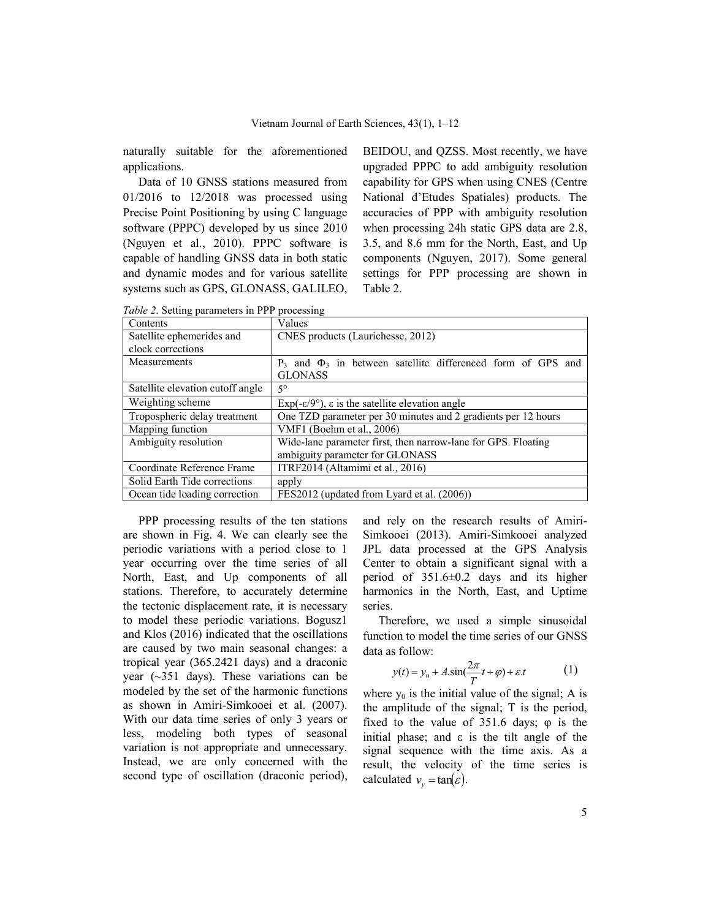naturally suitable for the aforementioned applications.

Data of 10 GNSS stations measured from 01/2016 to 12/2018 was processed using Precise Point Positioning by using C language software (PPPC) developed by us since 2010 (Nguyen et al., 2010). PPPC software is capable of handling GNSS data in both static and dynamic modes and for various satellite systems such as GPS, GLONASS, GALILEO, BEIDOU, and QZSS. Most recently, we have upgraded PPPC to add ambiguity resolution capability for GPS when using CNES (Centre National d'Etudes Spatiales) products. The accuracies of PPP with ambiguity resolution when processing 24h static GPS data are 2.8, 3.5, and 8.6 mm for the North, East, and Up components (Nguyen, 2017). Some general settings for PPP processing are shown in Table 2.

| Contents                                      | Values                                                                         |  |  |  |  |
|-----------------------------------------------|--------------------------------------------------------------------------------|--|--|--|--|
| Satellite ephemerides and                     | CNES products (Laurichesse, 2012)                                              |  |  |  |  |
| clock corrections                             |                                                                                |  |  |  |  |
| Measurements                                  | $P_3$ and $\Phi_3$ in between satellite differenced form of GPS and            |  |  |  |  |
|                                               | <b>GLONASS</b>                                                                 |  |  |  |  |
| Satellite elevation cutoff angle              | $5^{\circ}$                                                                    |  |  |  |  |
| Weighting scheme                              | $Exp(-\varepsilon/9^{\circ})$ , $\varepsilon$ is the satellite elevation angle |  |  |  |  |
| Tropospheric delay treatment                  | One TZD parameter per 30 minutes and 2 gradients per 12 hours                  |  |  |  |  |
| Mapping function<br>VMF1 (Boehm et al., 2006) |                                                                                |  |  |  |  |
| Ambiguity resolution                          | Wide-lane parameter first, then narrow-lane for GPS. Floating                  |  |  |  |  |
|                                               | ambiguity parameter for GLONASS                                                |  |  |  |  |
| Coordinate Reference Frame                    | ITRF2014 (Altamimi et al., 2016)                                               |  |  |  |  |
| Solid Earth Tide corrections                  | apply                                                                          |  |  |  |  |
| Ocean tide loading correction                 | FES2012 (updated from Lyard et al. (2006))                                     |  |  |  |  |

*Table 2*. Setting parameters in PPP processing

PPP processing results of the ten stations are shown in Fig. 4. We can clearly see the periodic variations with a period close to 1 year occurring over the time series of all North, East, and Up components of all stations. Therefore, to accurately determine the tectonic displacement rate, it is necessary to model these periodic variations. Bogusz1 and Klos (2016) indicated that the oscillations are caused by two main seasonal changes: a tropical year (365.2421 days) and a draconic year (~351 days). These variations can be modeled by the set of the harmonic functions as shown in Amiri-Simkooei et al. (2007). With our data time series of only 3 years or less, modeling both types of seasonal variation is not appropriate and unnecessary. Instead, we are only concerned with the second type of oscillation (draconic period), and rely on the research results of Amiri-Simkooei (2013). Amiri-Simkooei analyzed JPL data processed at the GPS Analysis Center to obtain a significant signal with a period of 351.6±0.2 days and its higher harmonics in the North, East, and Uptime series.

Therefore, we used a simple sinusoidal function to model the time series of our GNSS data as follow:

$$
y(t) = y_0 + A \sin(\frac{2\pi}{T}t + \varphi) + \varepsilon t \tag{1}
$$

where  $y_0$  is the initial value of the signal; A is the amplitude of the signal; T is the period, fixed to the value of  $351.6$  days;  $\varphi$  is the initial phase; and  $\varepsilon$  is the tilt angle of the signal sequence with the time axis. As a result, the velocity of the time series is calculated  $v_y = \tan(\varepsilon)$ .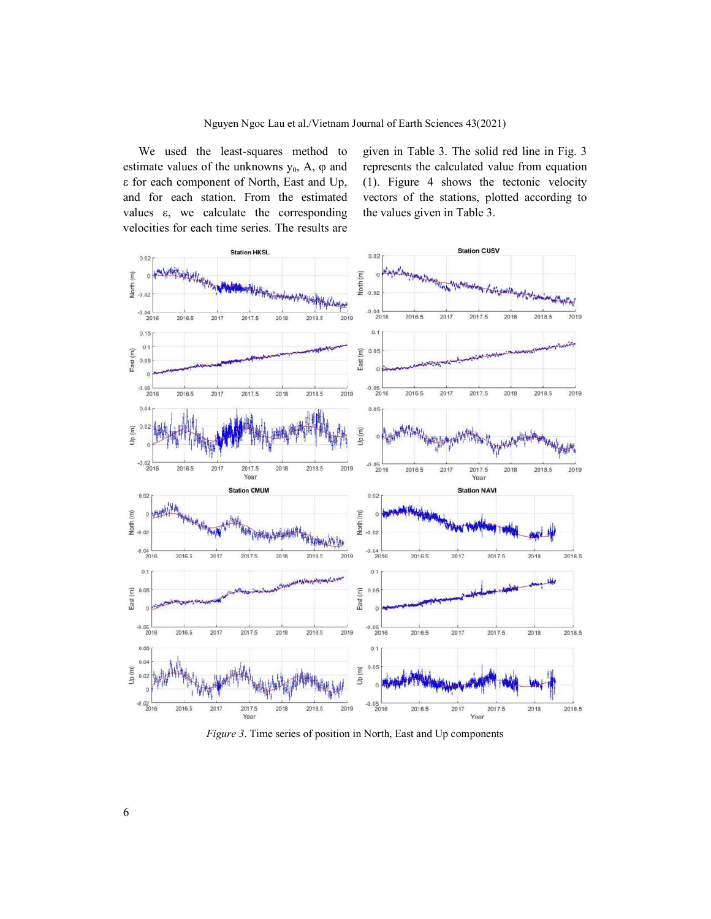We used the least-squares method to estimate values of the unknowns  $y_0$ , A,  $\varphi$  and for each component of North, East and Up, and for each station. From the estimated values  $\varepsilon$ , we calculate the corresponding velocities for each time series. The results are

given in Table 3. The solid red line in Fig. 3 represents the calculated value from equation (1). Figure 4 shows the tectonic velocity vectors of the stations, plotted according to the values given in Table 3.



*Figure 3*. Time series of position in North, East and Up components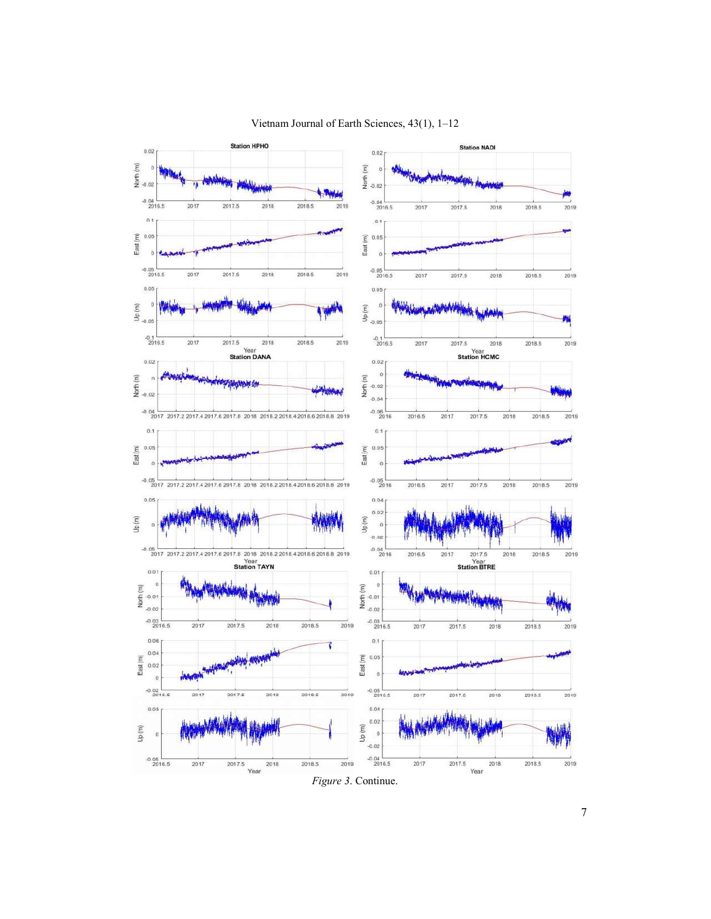

# Vietnam Journal of Earth Sciences, 43(1), 1–12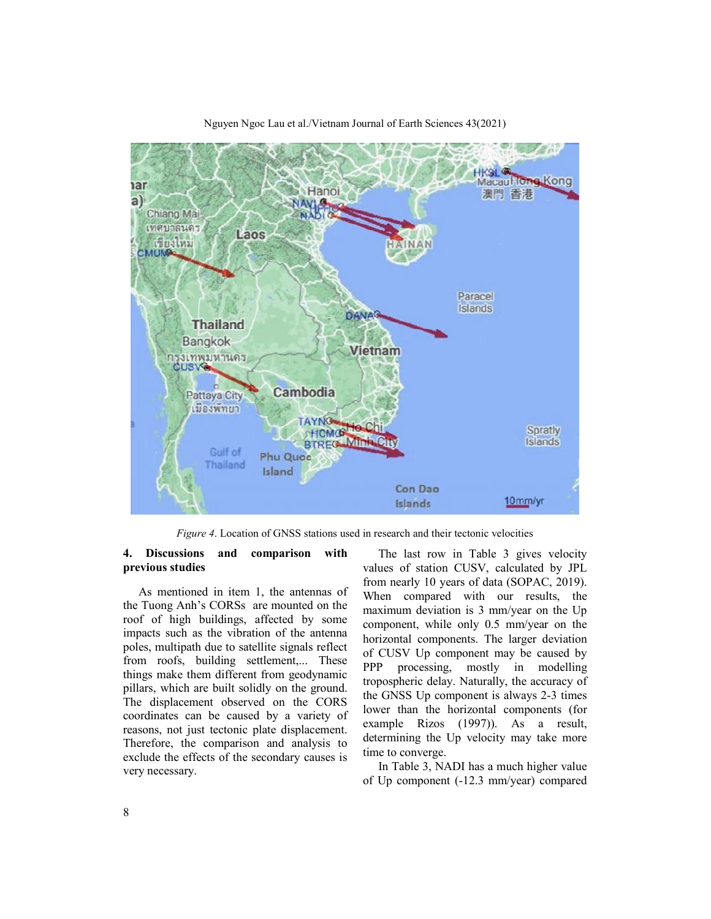

Nguyen Ngoc Lau et al./Vietnam Journal of Earth Sciences 43(2021)

*Figure 4*. Location of GNSS stations used in research and their tectonic velocities

### **4. Discussions and comparison with previous studies**

As mentioned in item 1, the antennas of the Tuong Anh's CORSs are mounted on the roof of high buildings, affected by some impacts such as the vibration of the antenna poles, multipath due to satellite signals reflect from roofs, building settlement,... These things make them different from geodynamic pillars, which are built solidly on the ground. The displacement observed on the CORS coordinates can be caused by a variety of reasons, not just tectonic plate displacement. Therefore, the comparison and analysis to exclude the effects of the secondary causes is very necessary.

The last row in Table 3 gives velocity values of station CUSV, calculated by JPL from nearly 10 years of data (SOPAC, 2019). When compared with our results, the maximum deviation is 3 mm/year on the Up component, while only 0.5 mm/year on the horizontal components. The larger deviation of CUSV Up component may be caused by PPP processing, mostly in modelling tropospheric delay. Naturally, the accuracy of the GNSS Up component is always 2-3 times lower than the horizontal components (for example Rizos (1997)). As a result, determining the Up velocity may take more time to converge.

In Table 3, NADI has a much higher value of Up component (-12.3 mm/year) compared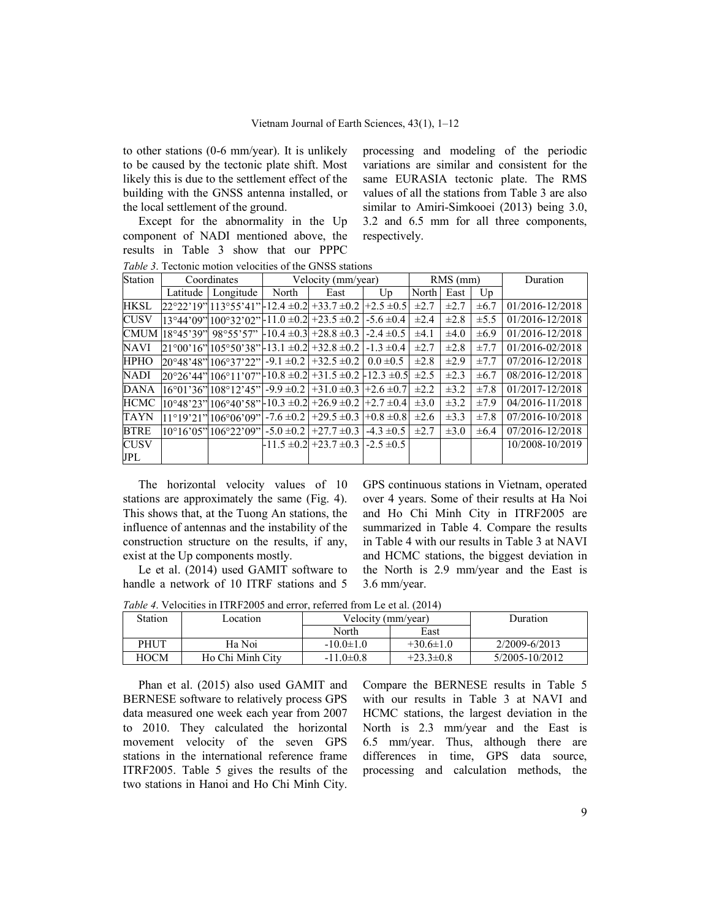to other stations (0-6 mm/year). It is unlikely to be caused by the tectonic plate shift. Most likely this is due to the settlement effect of the building with the GNSS antenna installed, or the local settlement of the ground.

Except for the abnormality in the Up component of NADI mentioned above, the results in Table 3 show that our PPPC

processing and modeling of the periodic variations are similar and consistent for the same EURASIA tectonic plate. The RMS values of all the stations from Table 3 are also similar to Amiri-Simkooei (2013) being 3.0, 3.2 and 6.5 mm for all three components, respectively.

*Table 3*. Tectonic motion velocities of the GNSS stations

| Station     | Coordinates |                                                                                             | Velocity (mm/year) |                                 | RMS (mm)          |           |           | Duration  |                 |
|-------------|-------------|---------------------------------------------------------------------------------------------|--------------------|---------------------------------|-------------------|-----------|-----------|-----------|-----------------|
|             | Latitude    | Longitude                                                                                   | North              | East                            | $U_{\mathcal{D}}$ | North     | East      | $U_{p}$   |                 |
| <b>HKSL</b> |             | $22^{\circ}22'19''$  113°55'41" -12.4 ±0.2  +33.7 ±0.2   +2.5 ±0.5                          |                    |                                 |                   | $\pm 2.7$ | $\pm 2.7$ | $\pm 6.7$ | 01/2016-12/2018 |
| <b>CUSV</b> |             | $[13°44'09"]100°32'02"$ -11.0 $\pm$ 0.2 + 23.5 $\pm$ 0.2 - 5.6 $\pm$ 0.4                    |                    |                                 |                   | $\pm 2.4$ | $\pm 2.8$ | $\pm$ 5.5 | 01/2016-12/2018 |
| <b>CMUM</b> |             | $[18^{\circ}45'39'']$ 98°55'57" $\left[-10.4 \pm 0.3\right]$ +28.8 $\pm 0.3$ -2.4 $\pm 0.5$ |                    |                                 |                   | $\pm 4.1$ | $\pm 4.0$ | $\pm 6.9$ | 01/2016-12/2018 |
| <b>NAVI</b> |             | $21^{\circ}00'16''$  105°50'38" -13.1 ±0.2  +32.8 ±0.2  -1.3 ±0.4                           |                    |                                 |                   | $\pm 2.7$ | $\pm 2.8$ | ±7.7      | 01/2016-02/2018 |
| <b>HPHO</b> |             | $20^{\circ}48'48''$ 106°37'22"   -9.1 $\pm 0.2$                                             |                    | $+32.5 \pm 0.2 \pm 0.0 \pm 0.5$ |                   | $\pm 2.8$ | $\pm 2.9$ | ±7.7      | 07/2016-12/2018 |
| <b>NADI</b> |             | $20^{\circ}26'44''$  106°11'07" -10.8 ±0.2 +31.5 ±0.2 -12.3 ±0.5                            |                    |                                 |                   | $\pm 2.5$ | $\pm 2.3$ | $\pm 6.7$ | 08/2016-12/2018 |
| <b>DANA</b> |             | $[16^{\circ}01'36'']108^{\circ}12'45''$ -9.9 $\pm 0.2$                                      |                    | $+31.0 \pm 0.3 +2.6 \pm 0.7$    |                   | $\pm 2.2$ | $\pm 3.2$ | ±7.8      | 01/2017-12/2018 |
| <b>HCMC</b> |             | $[10^{\circ}48'23'']106^{\circ}40'58''$ - $[10.3 \pm 0.2]$ + $26.9 \pm 0.2$ + $2.7 \pm 0.4$ |                    |                                 |                   | $\pm 3.0$ | $\pm 3.2$ | ±7.9      | 04/2016-11/2018 |
| TAYN        |             | $ 11^{\circ}19'21'' 106^{\circ}06'09''  -7.6 \pm 0.2 $                                      |                    | $+29.5 \pm 0.3 \pm 0.8 \pm 0.8$ |                   | $\pm 2.6$ | $\pm 3.3$ | $\pm 7.8$ | 07/2016-10/2018 |
| <b>BTRE</b> |             | $10^{\circ}16'05''106^{\circ}22'09''$                                                       | $-5.0 \pm 0.2$     | $+27.7 \pm 0.3$                 | $-4.3 \pm 0.5$    | $\pm 2.7$ | $\pm 3.0$ | $\pm 6.4$ | 07/2016-12/2018 |
| <b>CUSV</b> |             |                                                                                             | $-11.5 \pm 0.2$    | $+23.7 \pm 0.3$ -2.5 $\pm 0.5$  |                   |           |           |           | 10/2008-10/2019 |
| JPL         |             |                                                                                             |                    |                                 |                   |           |           |           |                 |

The horizontal velocity values of 10 stations are approximately the same (Fig. 4). This shows that, at the Tuong An stations, the influence of antennas and the instability of the construction structure on the results, if any, exist at the Up components mostly.

Le et al. (2014) used GAMIT software to handle a network of 10 ITRF stations and 5

GPS continuous stations in Vietnam, operated over 4 years. Some of their results at Ha Noi and Ho Chi Minh City in ITRF2005 are summarized in Table 4. Compare the results in Table 4 with our results in Table 3 at NAVI and HCMC stations, the biggest deviation in the North is 2.9 mm/year and the East is 3.6 mm/year.

*Table 4*. Velocities in ITRF2005 and error, referred from Le et al. (2014)

| Station     | Location         | Velocity (mm/year) |                 | Duration       |  |  |  |  |
|-------------|------------------|--------------------|-----------------|----------------|--|--|--|--|
|             |                  | North              | East            |                |  |  |  |  |
| PHUT        | Ha Noi           | $-10.0 \pm 1.0$    | $+30.6 \pm 1.0$ | 2/2009-6/2013  |  |  |  |  |
| <b>HOCM</b> | Ho Chi Minh City | $-11.0 \pm 0.8$    | $+23.3 \pm 0.8$ | 5/2005-10/2012 |  |  |  |  |

Phan et al. (2015) also used GAMIT and BERNESE software to relatively process GPS data measured one week each year from 2007 to 2010. They calculated the horizontal movement velocity of the seven GPS stations in the international reference frame ITRF2005. Table 5 gives the results of the two stations in Hanoi and Ho Chi Minh City.

Compare the BERNESE results in Table 5 with our results in Table 3 at NAVI and HCMC stations, the largest deviation in the North is 2.3 mm/year and the East is 6.5 mm/year. Thus, although there are differences in time, GPS data source, processing and calculation methods, the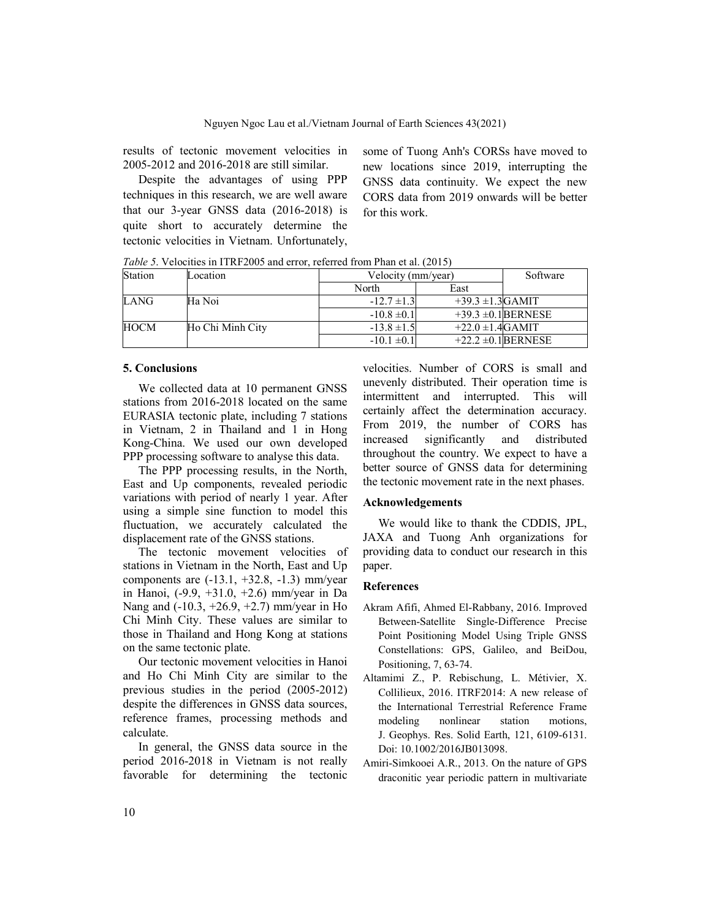results of tectonic movement velocities in 2005-2012 and 2016-2018 are still similar.

Despite the advantages of using PPP techniques in this research, we are well aware that our 3-year GNSS data (2016-2018) is quite short to accurately determine the tectonic velocities in Vietnam. Unfortunately,

some of Tuong Anh's CORSs have moved to new locations since 2019, interrupting the GNSS data continuity. We expect the new CORS data from 2019 onwards will be better for this work.

*Table 5*. Velocities in ITRF2005 and error, referred from Phan et al. (2015)

| Station     | Location         |                 | Velocity (mm/year)    |                         |  |
|-------------|------------------|-----------------|-----------------------|-------------------------|--|
|             |                  | North           | East                  |                         |  |
| LANG        | Ha Noi           | $-12.7 \pm 1.3$ | $+39.3 \pm 1.3$ GAMIT |                         |  |
|             |                  | $-10.8 \pm 0.1$ |                       | $+39.3 \pm 0.1$ BERNESE |  |
| <b>HOCM</b> | Ho Chi Minh City | $-13.8 \pm 1.5$ | $+22.0 \pm 1.4$ GAMIT |                         |  |
|             |                  | $-10.1 \pm 0.1$ |                       | $+22.2 \pm 0.1$ BERNESE |  |

### **5. Conclusions**

We collected data at 10 permanent GNSS stations from 2016-2018 located on the same EURASIA tectonic plate, including 7 stations in Vietnam, 2 in Thailand and 1 in Hong Kong-China. We used our own developed PPP processing software to analyse this data.

The PPP processing results, in the North, East and Up components, revealed periodic variations with period of nearly 1 year. After using a simple sine function to model this fluctuation, we accurately calculated the displacement rate of the GNSS stations.

The tectonic movement velocities of stations in Vietnam in the North, East and Up components are  $(-13.1, +32.8, -1.3)$  mm/year in Hanoi, (-9.9, +31.0, +2.6) mm/year in Da Nang and (-10.3, +26.9, +2.7) mm/year in Ho Chi Minh City. These values are similar to those in Thailand and Hong Kong at stations on the same tectonic plate.

Our tectonic movement velocities in Hanoi and Ho Chi Minh City are similar to the previous studies in the period (2005-2012) despite the differences in GNSS data sources, reference frames, processing methods and calculate.

In general, the GNSS data source in the period 2016-2018 in Vietnam is not really favorable for determining the tectonic velocities. Number of CORS is small and unevenly distributed. Their operation time is intermittent and interrupted. This will certainly affect the determination accuracy. From 2019, the number of CORS has increased significantly and distributed throughout the country. We expect to have a better source of GNSS data for determining the tectonic movement rate in the next phases.

### **Acknowledgements**

We would like to thank the CDDIS, JPL, JAXA and Tuong Anh organizations for providing data to conduct our research in this paper.

## **References**

- Akram Afifi, Ahmed El-Rabbany, 2016. Improved Between-Satellite Single-Difference Precise Point Positioning Model Using Triple GNSS Constellations: GPS, Galileo, and BeiDou, Positioning, 7, 63-74.
- Altamimi Z., P. Rebischung, L. Métivier, X. Collilieux, 2016. ITRF2014: A new release of the International Terrestrial Reference Frame modeling nonlinear station motions, J. Geophys. Res. Solid Earth, 121, 6109-6131. Doi: 10.1002/2016JB013098.
- Amiri-Simkooei A.R., 2013. On the nature of GPS draconitic year periodic pattern in multivariate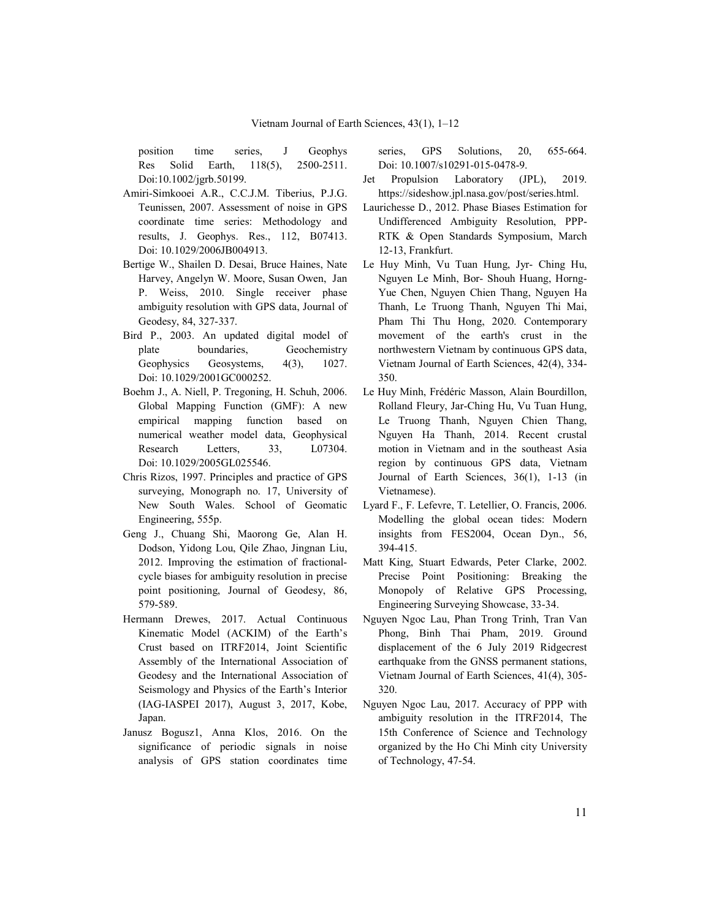position time series, J Geophys Res Solid Earth, 118(5), 2500-2511. Doi:10.1002/jgrb.50199.

- Amiri-Simkooei A.R., C.C.J.M. Tiberius, P.J.G. Teunissen, 2007. Assessment of noise in GPS coordinate time series: Methodology and results, J. Geophys. Res., 112, B07413. Doi: 10.1029/2006JB004913.
- Bertige W., Shailen D. Desai, Bruce Haines, Nate Harvey, Angelyn W. Moore, Susan Owen, Jan P. Weiss, 2010. Single receiver phase ambiguity resolution with GPS data, Journal of Geodesy, 84, 327-337.
- Bird P., 2003. An updated digital model of plate boundaries, Geochemistry Geophysics Geosystems, 4(3), 1027. Doi: 10.1029/2001GC000252.
- Boehm J., A. Niell, P. Tregoning, H. Schuh, 2006. Global Mapping Function (GMF): A new empirical mapping function based on numerical weather model data, Geophysical Research Letters. 33, L07304. Doi: 10.1029/2005GL025546.
- Chris Rizos, 1997. Principles and practice of GPS surveying, Monograph no. 17, University of New South Wales. School of Geomatic Engineering, 555p.
- Geng J., Chuang Shi, Maorong Ge, Alan H. Dodson, Yidong Lou, Qile Zhao, Jingnan Liu, 2012. Improving the estimation of fractionalcycle biases for ambiguity resolution in precise point positioning, Journal of Geodesy, 86, 579-589.
- Hermann Drewes, 2017. Actual Continuous Kinematic Model (ACKIM) of the Earth's Crust based on ITRF2014, Joint Scientific Assembly of the International Association of Geodesy and the International Association of Seismology and Physics of the Earth's Interior (IAG-IASPEI 2017), August 3, 2017, Kobe, Japan.
- Janusz Bogusz1, Anna Klos, 2016. On the significance of periodic signals in noise analysis of GPS station coordinates time

series, GPS Solutions, 20, 655-664. Doi: 10.1007/s10291-015-0478-9.

- Jet Propulsion Laboratory (JPL), 2019. https://sideshow.jpl.nasa.gov/post/series.html.
- Laurichesse D., 2012. Phase Biases Estimation for Undifferenced Ambiguity Resolution, PPP-RTK & Open Standards Symposium, March 12-13, Frankfurt.
- Le Huy Minh, Vu Tuan Hung, Jyr- Ching Hu, Nguyen Le Minh, Bor- Shouh Huang, Horng-Yue Chen, Nguyen Chien Thang, Nguyen Ha Thanh, Le Truong Thanh, Nguyen Thi Mai, Pham Thi Thu Hong, 2020. Contemporary movement of the earth's crust in the northwestern Vietnam by continuous GPS data, Vietnam Journal of Earth Sciences, 42(4), 334- 350.
- Le Huy Minh, Frédéric Masson, Alain Bourdillon, Rolland Fleury, Jar-Ching Hu, Vu Tuan Hung, Le Truong Thanh, Nguyen Chien Thang, Nguyen Ha Thanh, 2014. Recent crustal motion in Vietnam and in the southeast Asia region by continuous GPS data, Vietnam Journal of Earth Sciences, 36(1), 1-13 (in Vietnamese).
- Lyard F., F. Lefevre, T. Letellier, O. Francis, 2006. Modelling the global ocean tides: Modern insights from FES2004, Ocean Dyn., 56, 394-415.
- Matt King, Stuart Edwards, Peter Clarke, 2002. Precise Point Positioning: Breaking the Monopoly of Relative GPS Processing, Engineering Surveying Showcase, 33-34.
- Nguyen Ngoc Lau, Phan Trong Trinh, Tran Van Phong, Binh Thai Pham, 2019. Ground displacement of the 6 July 2019 Ridgecrest earthquake from the GNSS permanent stations, Vietnam Journal of Earth Sciences, 41(4), 305- 320.
- Nguyen Ngoc Lau, 2017. Accuracy of PPP with ambiguity resolution in the ITRF2014, The 15th Conference of Science and Technology organized by the Ho Chi Minh city University of Technology, 47-54.